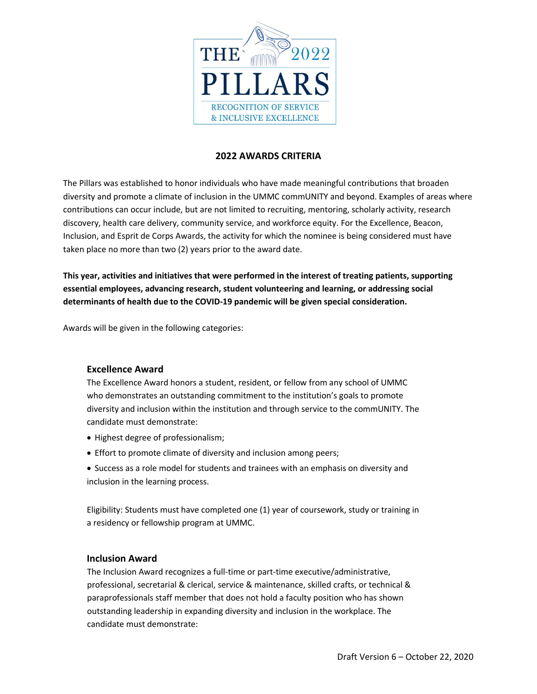

# **2022 AWARDS CRITERIA**

The Pillars was established to honor individuals who have made meaningful contributions that broaden diversity and promote a climate of inclusion in the UMMC commUNITY and beyond. Examples of areas where contributions can occur include, but are not limited to recruiting, mentoring, scholarly activity, research discovery, health care delivery, community service, and workforce equity. For the Excellence, Beacon, Inclusion, and Esprit de Corps Awards, the activity for which the nominee is being considered must have taken place no more than two (2) years prior to the award date.

**This year, activities and initiatives that were performed in the interest of treating patients, supporting essential employees, advancing research, student volunteering and learning, or addressing social determinants of health due to the COVID-19 pandemic will be given special consideration.** 

Awards will be given in the following categories:

### **Excellence Award**

The Excellence Award honors a student, resident, or fellow from any school of UMMC who demonstrates an outstanding commitment to the institution's goals to promote diversity and inclusion within the institution and through service to the commUNITY. The candidate must demonstrate:

- Highest degree of professionalism;
- Effort to promote climate of diversity and inclusion among peers;
- Success as a role model for students and trainees with an emphasis on diversity and inclusion in the learning process.

Eligibility: Students must have completed one (1) year of coursework, study or training in a residency or fellowship program at UMMC.

### **Inclusion Award**

The Inclusion Award recognizes a full-time or part-time executive/administrative, professional, secretarial & clerical, service & maintenance, skilled crafts, or technical & paraprofessionals staff member that does not hold a faculty position who has shown outstanding leadership in expanding diversity and inclusion in the workplace. The candidate must demonstrate: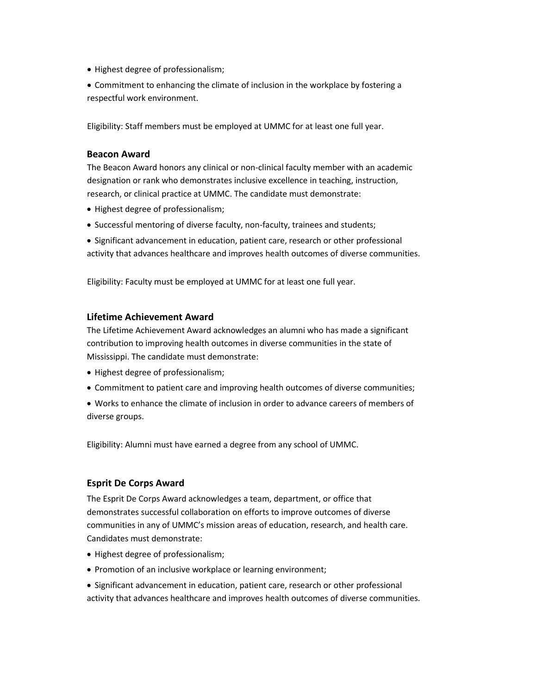- Highest degree of professionalism;
- Commitment to enhancing the climate of inclusion in the workplace by fostering a respectful work environment.

Eligibility: Staff members must be employed at UMMC for at least one full year.

#### **Beacon Award**

The Beacon Award honors any clinical or non-clinical faculty member with an academic designation or rank who demonstrates inclusive excellence in teaching, instruction, research, or clinical practice at UMMC. The candidate must demonstrate:

- Highest degree of professionalism;
- Successful mentoring of diverse faculty, non-faculty, trainees and students;
- Significant advancement in education, patient care, research or other professional activity that advances healthcare and improves health outcomes of diverse communities.

Eligibility: Faculty must be employed at UMMC for at least one full year.

#### **Lifetime Achievement Award**

The Lifetime Achievement Award acknowledges an alumni who has made a significant contribution to improving health outcomes in diverse communities in the state of Mississippi. The candidate must demonstrate:

- Highest degree of professionalism;
- Commitment to patient care and improving health outcomes of diverse communities;
- Works to enhance the climate of inclusion in order to advance careers of members of diverse groups.

Eligibility: Alumni must have earned a degree from any school of UMMC.

### **Esprit De Corps Award**

The Esprit De Corps Award acknowledges a team, department, or office that demonstrates successful collaboration on efforts to improve outcomes of diverse communities in any of UMMC's mission areas of education, research, and health care. Candidates must demonstrate:

- Highest degree of professionalism;
- Promotion of an inclusive workplace or learning environment;
- Significant advancement in education, patient care, research or other professional activity that advances healthcare and improves health outcomes of diverse communities.